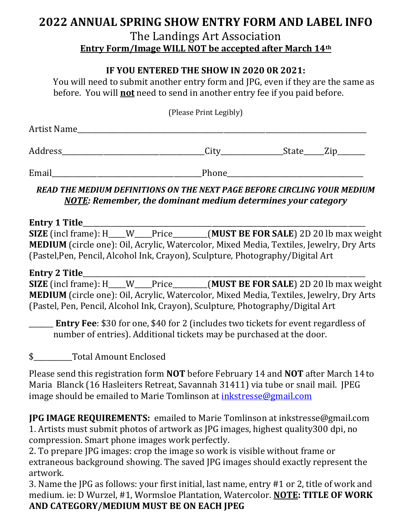# 2022 ANNUAL SPRING SHOW ENTRY FORM AND LABEL INFO

#### The Landings Art Association Entry Form/Image WILL NOT be accepted after March 14th

#### IF YOU ENTERED THE SHOW IN 2020 0R 2021:

You will need to submit another entry form and JPG, even if they are the same as before. You will **not** need to send in another entry fee if you paid before.

|  | (Please Print Legibly) |
|--|------------------------|
|  |                        |

| Artist Name |      |       |  |
|-------------|------|-------|--|
|             |      |       |  |
| Address     | City | State |  |

Email **Email Email Email Email Email Email Email Email Email Email Email Email Email Email Email Email Email Email Email Email Email Email Email Email EM** 

READ THE MEDIUM DEFINITIONS ON THE NEXT PAGE BEFORE CIRCLING YOUR MEDIUM NOTE: Remember, the dominant medium determines your category

Entry 1 Title\_\_\_\_\_\_\_\_\_\_\_\_\_\_\_\_\_\_\_\_\_\_\_\_\_\_\_\_\_\_\_\_\_\_\_\_\_\_\_\_\_\_\_\_\_\_\_\_\_\_\_\_\_\_\_\_\_\_\_\_\_\_\_\_\_\_\_\_\_\_\_\_\_\_\_\_\_\_\_\_\_

SIZE (incl frame): H\_\_\_\_W\_\_\_\_Price\_\_\_\_\_\_\_(MUST BE FOR SALE) 2D 20 lb max weight MEDIUM (circle one): Oil, Acrylic, Watercolor, Mixed Media, Textiles, Jewelry, Dry Arts (Pastel,Pen, Pencil, Alcohol Ink, Crayon), Sculpture, Photography/Digital Art

Entry 2 Title $\Box$ SIZE (incl frame): H\_\_\_\_W\_\_\_\_Price\_\_\_\_\_\_\_(MUST BE FOR SALE) 2D 20 lb max weight MEDIUM (circle one): Oil, Acrylic, Watercolor, Mixed Media, Textiles, Jewelry, Dry Arts (Pastel, Pen, Pencil, Alcohol Ink, Crayon), Sculpture, Photography/Digital Art

**Entry Fee: \$30 for one, \$40 for 2 (includes two tickets for event regardless of** number of entries). Additional tickets may be purchased at the door.

\$\_\_\_\_\_\_\_\_\_\_\_Total Amount Enclosed

Please send this registration form NOT before February 14 and NOT after March 14 to Maria Blanck (16 Hasleiters Retreat, Savannah 31411) via tube or snail mail. JPEG image should be emailed to Marie Tomlinson at inkstresse@gmail.com

JPG IMAGE REQUIREMENTS: emailed to Marie Tomlinson at inkstresse@gmail.com 1. Artists must submit photos of artwork as JPG images, highest quality300 dpi, no compression. Smart phone images work perfectly.

2. To prepare JPG images: crop the image so work is visible without frame or extraneous background showing. The saved JPG images should exactly represent the artwork.

3. Name the JPG as follows: your first initial, last name, entry #1 or 2, title of work and medium. ie: D Wurzel, #1, Wormsloe Plantation, Watercolor. NOTE: TITLE OF WORK AND CATEGORY/MEDIUM MUST BE ON EACH JPEG